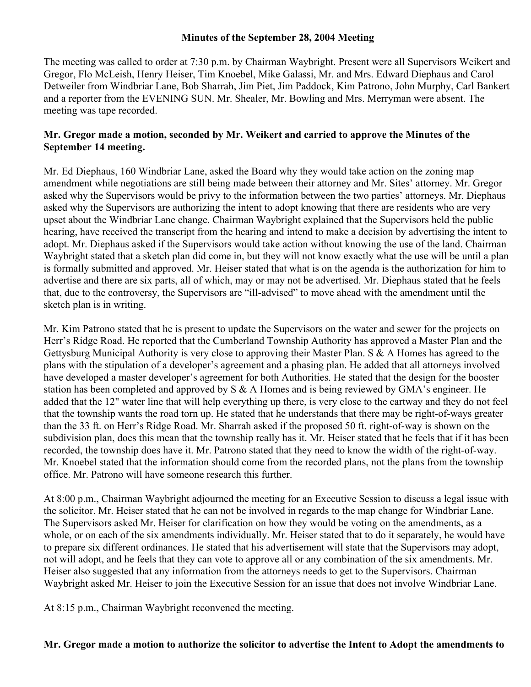#### **Minutes of the September 28, 2004 Meeting**

The meeting was called to order at 7:30 p.m. by Chairman Waybright. Present were all Supervisors Weikert and Gregor, Flo McLeish, Henry Heiser, Tim Knoebel, Mike Galassi, Mr. and Mrs. Edward Diephaus and Carol Detweiler from Windbriar Lane, Bob Sharrah, Jim Piet, Jim Paddock, Kim Patrono, John Murphy, Carl Bankert and a reporter from the EVENING SUN. Mr. Shealer, Mr. Bowling and Mrs. Merryman were absent. The meeting was tape recorded.

# **Mr. Gregor made a motion, seconded by Mr. Weikert and carried to approve the Minutes of the September 14 meeting.**

Mr. Ed Diephaus, 160 Windbriar Lane, asked the Board why they would take action on the zoning map amendment while negotiations are still being made between their attorney and Mr. Sites' attorney. Mr. Gregor asked why the Supervisors would be privy to the information between the two parties' attorneys. Mr. Diephaus asked why the Supervisors are authorizing the intent to adopt knowing that there are residents who are very upset about the Windbriar Lane change. Chairman Waybright explained that the Supervisors held the public hearing, have received the transcript from the hearing and intend to make a decision by advertising the intent to adopt. Mr. Diephaus asked if the Supervisors would take action without knowing the use of the land. Chairman Waybright stated that a sketch plan did come in, but they will not know exactly what the use will be until a plan is formally submitted and approved. Mr. Heiser stated that what is on the agenda is the authorization for him to advertise and there are six parts, all of which, may or may not be advertised. Mr. Diephaus stated that he feels that, due to the controversy, the Supervisors are "ill-advised" to move ahead with the amendment until the sketch plan is in writing.

Mr. Kim Patrono stated that he is present to update the Supervisors on the water and sewer for the projects on Herr's Ridge Road. He reported that the Cumberland Township Authority has approved a Master Plan and the Gettysburg Municipal Authority is very close to approving their Master Plan. S & A Homes has agreed to the plans with the stipulation of a developer's agreement and a phasing plan. He added that all attorneys involved have developed a master developer's agreement for both Authorities. He stated that the design for the booster station has been completed and approved by S & A Homes and is being reviewed by GMA's engineer. He added that the 12" water line that will help everything up there, is very close to the cartway and they do not feel that the township wants the road torn up. He stated that he understands that there may be right-of-ways greater than the 33 ft. on Herr's Ridge Road. Mr. Sharrah asked if the proposed 50 ft. right-of-way is shown on the subdivision plan, does this mean that the township really has it. Mr. Heiser stated that he feels that if it has been recorded, the township does have it. Mr. Patrono stated that they need to know the width of the right-of-way. Mr. Knoebel stated that the information should come from the recorded plans, not the plans from the township office. Mr. Patrono will have someone research this further.

At 8:00 p.m., Chairman Waybright adjourned the meeting for an Executive Session to discuss a legal issue with the solicitor. Mr. Heiser stated that he can not be involved in regards to the map change for Windbriar Lane. The Supervisors asked Mr. Heiser for clarification on how they would be voting on the amendments, as a whole, or on each of the six amendments individually. Mr. Heiser stated that to do it separately, he would have to prepare six different ordinances. He stated that his advertisement will state that the Supervisors may adopt, not will adopt, and he feels that they can vote to approve all or any combination of the six amendments. Mr. Heiser also suggested that any information from the attorneys needs to get to the Supervisors. Chairman Waybright asked Mr. Heiser to join the Executive Session for an issue that does not involve Windbriar Lane.

At 8:15 p.m., Chairman Waybright reconvened the meeting.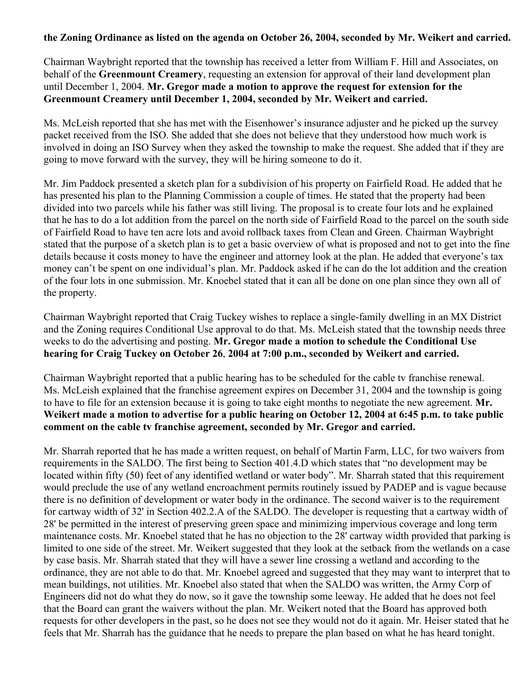## **the Zoning Ordinance as listed on the agenda on October 26, 2004, seconded by Mr. Weikert and carried.**

Chairman Waybright reported that the township has received a letter from William F. Hill and Associates, on behalf of the **Greenmount Creamery**, requesting an extension for approval of their land development plan until December 1, 2004. **Mr. Gregor made a motion to approve the request for extension for the Greenmount Creamery until December 1, 2004, seconded by Mr. Weikert and carried.**

Ms. McLeish reported that she has met with the Eisenhower's insurance adjuster and he picked up the survey packet received from the ISO. She added that she does not believe that they understood how much work is involved in doing an ISO Survey when they asked the township to make the request. She added that if they are going to move forward with the survey, they will be hiring someone to do it.

Mr. Jim Paddock presented a sketch plan for a subdivision of his property on Fairfield Road. He added that he has presented his plan to the Planning Commission a couple of times. He stated that the property had been divided into two parcels while his father was still living. The proposal is to create four lots and he explained that he has to do a lot addition from the parcel on the north side of Fairfield Road to the parcel on the south side of Fairfield Road to have ten acre lots and avoid rollback taxes from Clean and Green. Chairman Waybright stated that the purpose of a sketch plan is to get a basic overview of what is proposed and not to get into the fine details because it costs money to have the engineer and attorney look at the plan. He added that everyone's tax money can't be spent on one individual's plan. Mr. Paddock asked if he can do the lot addition and the creation of the four lots in one submission. Mr. Knoebel stated that it can all be done on one plan since they own all of the property.

Chairman Waybright reported that Craig Tuckey wishes to replace a single-family dwelling in an MX District and the Zoning requires Conditional Use approval to do that. Ms. McLeish stated that the township needs three weeks to do the advertising and posting. **Mr. Gregor made a motion to schedule the Conditional Use hearing for Craig Tuckey on October 26**, **2004 at 7:00 p.m., seconded by Weikert and carried.** 

Chairman Waybright reported that a public hearing has to be scheduled for the cable tv franchise renewal. Ms. McLeish explained that the franchise agreement expires on December 31, 2004 and the township is going to have to file for an extension because it is going to take eight months to negotiate the new agreement. **Mr. Weikert made a motion to advertise for a public hearing on October 12, 2004 at 6:45 p.m. to take public comment on the cable tv franchise agreement, seconded by Mr. Gregor and carried.** 

Mr. Sharrah reported that he has made a written request, on behalf of Martin Farm, LLC, for two waivers from requirements in the SALDO. The first being to Section 401.4.D which states that "no development may be located within fifty (50) feet of any identified wetland or water body". Mr. Sharrah stated that this requirement would preclude the use of any wetland encroachment permits routinely issued by PADEP and is vague because there is no definition of development or water body in the ordinance. The second waiver is to the requirement for cartway width of 32' in Section 402.2.A of the SALDO. The developer is requesting that a cartway width of 28' be permitted in the interest of preserving green space and minimizing impervious coverage and long term maintenance costs. Mr. Knoebel stated that he has no objection to the 28' cartway width provided that parking is limited to one side of the street. Mr. Weikert suggested that they look at the setback from the wetlands on a case by case basis. Mr. Sharrah stated that they will have a sewer line crossing a wetland and according to the ordinance, they are not able to do that. Mr. Knoebel agreed and suggested that they may want to interpret that to mean buildings, not utilities. Mr. Knoebel also stated that when the SALDO was written, the Army Corp of Engineers did not do what they do now, so it gave the township some leeway. He added that he does not feel that the Board can grant the waivers without the plan. Mr. Weikert noted that the Board has approved both requests for other developers in the past, so he does not see they would not do it again. Mr. Heiser stated that he feels that Mr. Sharrah has the guidance that he needs to prepare the plan based on what he has heard tonight.